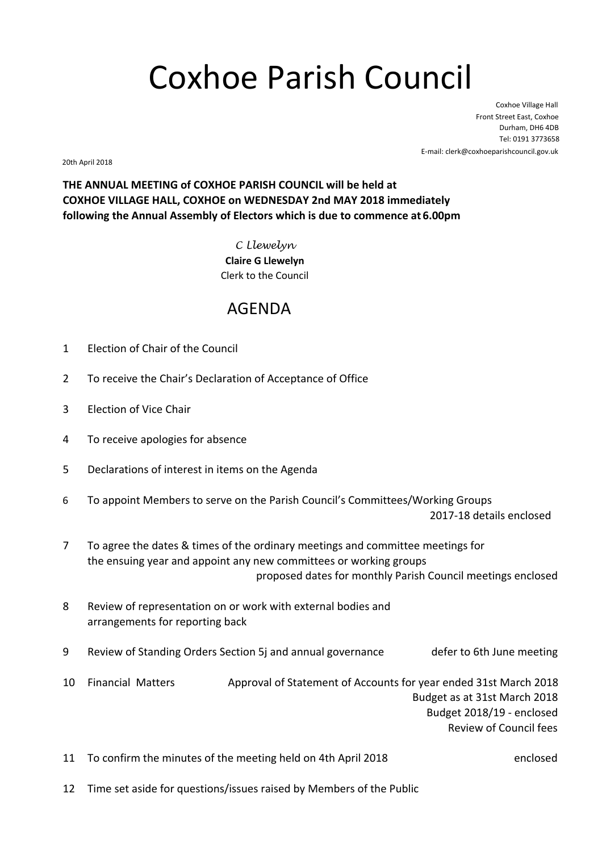## Coxhoe Parish Council

Coxhoe Village Hall Front Street East, Coxhoe Durham, DH6 4DB Tel: 0191 3773658 E-mail: clerk@coxhoeparishcouncil.gov.uk

20th April 2018

**THE ANNUAL MEETING of COXHOE PARISH COUNCIL will be held at COXHOE VILLAGE HALL, COXHOE on WEDNESDAY 2nd MAY 2018 immediately following the Annual Assembly of Electors which is due to commence at 6.00pm**

> C Llewelyn **Claire G Llewelyn** Clerk to the Council

## AGENDA

- 1 Election of Chair of the Council
- 2 To receive the Chair's Declaration of Acceptance of Office
- 3 Election of Vice Chair
- 4 To receive apologies for absence
- 5 Declarations of interest in items on the Agenda
- 6 To appoint Members to serve on the Parish Council's Committees/Working Groups 2017-18 details enclosed
- 7 To agree the dates & times of the ordinary meetings and committee meetings for the ensuing year and appoint any new committees or working groups proposed dates for monthly Parish Council meetings enclosed
- 8 Review of representation on or work with external bodies and arrangements for reporting back
- 9 Review of Standing Orders Section 5j and annual governance defer to 6th June meeting
- 10 Financial Matters Approval of Statement of Accounts for year ended 31st March 2018 Budget as at 31st March 2018 Budget 2018/19 - enclosed Review of Council fees
- 11 To confirm the minutes of the meeting held on 4th April 2018 enclosed
- 12 Time set aside for questions/issues raised by Members of the Public